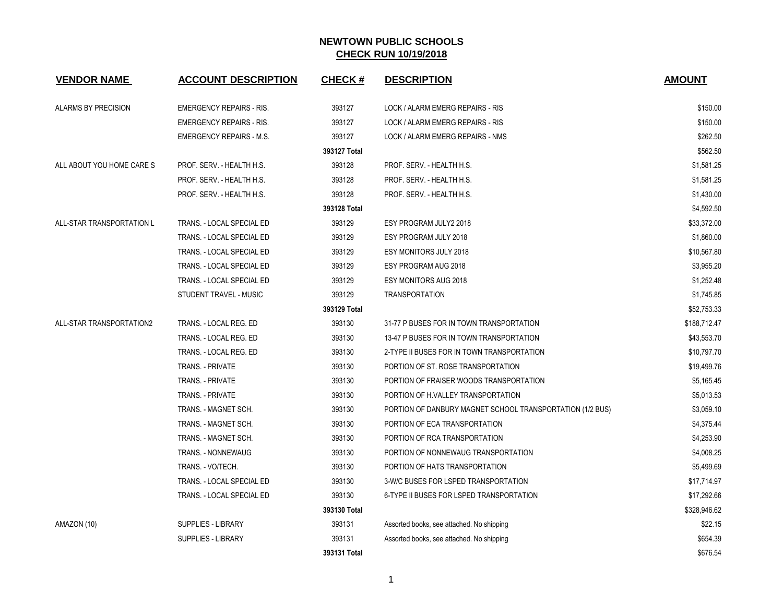| <b>VENDOR NAME</b>         | <b>ACCOUNT DESCRIPTION</b>      | <b>CHECK#</b> | <b>DESCRIPTION</b>                                        | <b>AMOUNT</b> |
|----------------------------|---------------------------------|---------------|-----------------------------------------------------------|---------------|
| <b>ALARMS BY PRECISION</b> | <b>EMERGENCY REPAIRS - RIS.</b> | 393127        | LOCK / ALARM EMERG REPAIRS - RIS                          | \$150.00      |
|                            | <b>EMERGENCY REPAIRS - RIS.</b> | 393127        | LOCK / ALARM EMERG REPAIRS - RIS                          | \$150.00      |
|                            | <b>EMERGENCY REPAIRS - M.S.</b> | 393127        | LOCK / ALARM EMERG REPAIRS - NMS                          | \$262.50      |
|                            |                                 | 393127 Total  |                                                           | \$562.50      |
| ALL ABOUT YOU HOME CARE S  | PROF. SERV. - HEALTH H.S.       | 393128        | PROF. SERV. - HEALTH H.S.                                 | \$1,581.25    |
|                            | PROF. SERV. - HEALTH H.S.       | 393128        | PROF. SERV. - HEALTH H.S.                                 | \$1,581.25    |
|                            | PROF. SERV. - HEALTH H.S.       | 393128        | PROF. SERV. - HEALTH H.S.                                 | \$1,430.00    |
|                            |                                 | 393128 Total  |                                                           | \$4,592.50    |
| ALL-STAR TRANSPORTATION L  | TRANS. - LOCAL SPECIAL ED       | 393129        | ESY PROGRAM JULY2 2018                                    | \$33,372.00   |
|                            | TRANS. - LOCAL SPECIAL ED       | 393129        | ESY PROGRAM JULY 2018                                     | \$1,860.00    |
|                            | TRANS. - LOCAL SPECIAL ED       | 393129        | ESY MONITORS JULY 2018                                    | \$10,567.80   |
|                            | TRANS. - LOCAL SPECIAL ED       | 393129        | ESY PROGRAM AUG 2018                                      | \$3,955.20    |
|                            | TRANS. - LOCAL SPECIAL ED       | 393129        | ESY MONITORS AUG 2018                                     | \$1,252.48    |
|                            | STUDENT TRAVEL - MUSIC          | 393129        | <b>TRANSPORTATION</b>                                     | \$1,745.85    |
|                            |                                 | 393129 Total  |                                                           | \$52,753.33   |
| ALL-STAR TRANSPORTATION2   | TRANS. - LOCAL REG. ED          | 393130        | 31-77 P BUSES FOR IN TOWN TRANSPORTATION                  | \$188,712.47  |
|                            | TRANS. - LOCAL REG. ED          | 393130        | 13-47 P BUSES FOR IN TOWN TRANSPORTATION                  | \$43,553.70   |
|                            | TRANS. - LOCAL REG. ED          | 393130        | 2-TYPE II BUSES FOR IN TOWN TRANSPORTATION                | \$10,797.70   |
|                            | <b>TRANS. - PRIVATE</b>         | 393130        | PORTION OF ST. ROSE TRANSPORTATION                        | \$19,499.76   |
|                            | TRANS. - PRIVATE                | 393130        | PORTION OF FRAISER WOODS TRANSPORTATION                   | \$5,165.45    |
|                            | TRANS. - PRIVATE                | 393130        | PORTION OF H.VALLEY TRANSPORTATION                        | \$5,013.53    |
|                            | TRANS. - MAGNET SCH.            | 393130        | PORTION OF DANBURY MAGNET SCHOOL TRANSPORTATION (1/2 BUS) | \$3,059.10    |
|                            | TRANS. - MAGNET SCH.            | 393130        | PORTION OF ECA TRANSPORTATION                             | \$4,375.44    |
|                            | TRANS. - MAGNET SCH.            | 393130        | PORTION OF RCA TRANSPORTATION                             | \$4,253.90    |
|                            | TRANS. - NONNEWAUG              | 393130        | PORTION OF NONNEWAUG TRANSPORTATION                       | \$4,008.25    |
|                            | TRANS. - VO/TECH.               | 393130        | PORTION OF HATS TRANSPORTATION                            | \$5,499.69    |
|                            | TRANS. - LOCAL SPECIAL ED       | 393130        | 3-W/C BUSES FOR LSPED TRANSPORTATION                      | \$17,714.97   |
|                            | TRANS. - LOCAL SPECIAL ED       | 393130        | 6-TYPE II BUSES FOR LSPED TRANSPORTATION                  | \$17,292.66   |
|                            |                                 | 393130 Total  |                                                           | \$328,946.62  |
| AMAZON (10)                | SUPPLIES - LIBRARY              | 393131        | Assorted books, see attached. No shipping                 | \$22.15       |
|                            | <b>SUPPLIES - LIBRARY</b>       | 393131        | Assorted books, see attached. No shipping                 | \$654.39      |
|                            |                                 | 393131 Total  |                                                           | \$676.54      |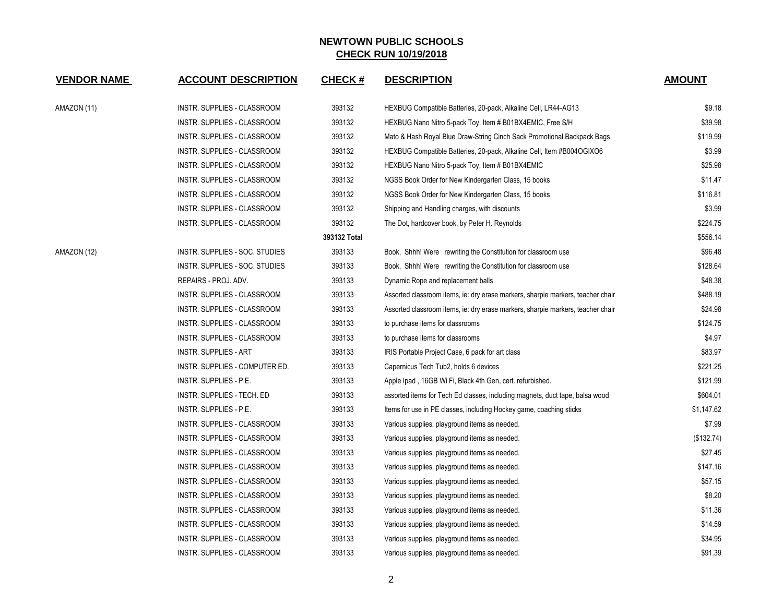| <b>VENDOR NAME</b> | <b>ACCOUNT DESCRIPTION</b>         | <b>CHECK#</b> | <b>DESCRIPTION</b>                                                              | <b>AMOUNT</b> |
|--------------------|------------------------------------|---------------|---------------------------------------------------------------------------------|---------------|
| AMAZON (11)        | INSTR. SUPPLIES - CLASSROOM        | 393132        | HEXBUG Compatible Batteries, 20-pack, Alkaline Cell, LR44-AG13                  | \$9.18        |
|                    | INSTR. SUPPLIES - CLASSROOM        | 393132        | HEXBUG Nano Nitro 5-pack Toy, Item # B01BX4EMIC, Free S/H                       | \$39.98       |
|                    | INSTR. SUPPLIES - CLASSROOM        | 393132        | Mato & Hash Royal Blue Draw-String Cinch Sack Promotional Backpack Bags         | \$119.99      |
|                    | INSTR. SUPPLIES - CLASSROOM        | 393132        | HEXBUG Compatible Batteries, 20-pack, Alkaline Cell, Item #B004OGIXO6           | \$3.99        |
|                    | INSTR. SUPPLIES - CLASSROOM        | 393132        | HEXBUG Nano Nitro 5-pack Toy, Item # B01BX4EMIC                                 | \$25.98       |
|                    | INSTR. SUPPLIES - CLASSROOM        | 393132        | NGSS Book Order for New Kindergarten Class, 15 books                            | \$11.47       |
|                    | INSTR. SUPPLIES - CLASSROOM        | 393132        | NGSS Book Order for New Kindergarten Class, 15 books                            | \$116.81      |
|                    | INSTR. SUPPLIES - CLASSROOM        | 393132        | Shipping and Handling charges, with discounts                                   | \$3.99        |
|                    | INSTR. SUPPLIES - CLASSROOM        | 393132        | The Dot, hardcover book, by Peter H. Reynolds                                   | \$224.75      |
|                    |                                    | 393132 Total  |                                                                                 | \$556.14      |
| AMAZON (12)        | INSTR. SUPPLIES - SOC. STUDIES     | 393133        | Book, Shhh! Were rewriting the Constitution for classroom use                   | \$96.48       |
|                    | INSTR. SUPPLIES - SOC. STUDIES     | 393133        | Book, Shhh! Were rewriting the Constitution for classroom use                   | \$128.64      |
|                    | REPAIRS - PROJ. ADV.               | 393133        | Dynamic Rope and replacement balls                                              | \$48.38       |
|                    | INSTR. SUPPLIES - CLASSROOM        | 393133        | Assorted classroom items, ie: dry erase markers, sharpie markers, teacher chair | \$488.19      |
|                    | INSTR. SUPPLIES - CLASSROOM        | 393133        | Assorted classroom items, ie: dry erase markers, sharpie markers, teacher chair | \$24.98       |
|                    | INSTR. SUPPLIES - CLASSROOM        | 393133        | to purchase items for classrooms                                                | \$124.75      |
|                    | INSTR. SUPPLIES - CLASSROOM        | 393133        | to purchase items for classrooms                                                | \$4.97        |
|                    | <b>INSTR. SUPPLIES - ART</b>       | 393133        | IRIS Portable Project Case, 6 pack for art class                                | \$83.97       |
|                    | INSTR. SUPPLIES - COMPUTER ED.     | 393133        | Capernicus Tech Tub2, holds 6 devices                                           | \$221.25      |
|                    | INSTR. SUPPLIES - P.E.             | 393133        | Apple Ipad, 16GB Wi Fi, Black 4th Gen, cert. refurbished.                       | \$121.99      |
|                    | INSTR. SUPPLIES - TECH. ED         | 393133        | assorted items for Tech Ed classes, including magnets, duct tape, balsa wood    | \$604.01      |
|                    | <b>INSTR. SUPPLIES - P.E.</b>      | 393133        | Items for use in PE classes, including Hockey game, coaching sticks             | \$1,147.62    |
|                    | INSTR. SUPPLIES - CLASSROOM        | 393133        | Various supplies, playground items as needed.                                   | \$7.99        |
|                    | INSTR. SUPPLIES - CLASSROOM        | 393133        | Various supplies, playground items as needed.                                   | (\$132.74)    |
|                    | INSTR. SUPPLIES - CLASSROOM        | 393133        | Various supplies, playground items as needed.                                   | \$27.45       |
|                    | INSTR. SUPPLIES - CLASSROOM        | 393133        | Various supplies, playground items as needed.                                   | \$147.16      |
|                    | INSTR. SUPPLIES - CLASSROOM        | 393133        | Various supplies, playground items as needed.                                   | \$57.15       |
|                    | INSTR. SUPPLIES - CLASSROOM        | 393133        | Various supplies, playground items as needed.                                   | \$8.20        |
|                    | INSTR. SUPPLIES - CLASSROOM        | 393133        | Various supplies, playground items as needed.                                   | \$11.36       |
|                    | INSTR. SUPPLIES - CLASSROOM        | 393133        | Various supplies, playground items as needed.                                   | \$14.59       |
|                    | INSTR. SUPPLIES - CLASSROOM        | 393133        | Various supplies, playground items as needed.                                   | \$34.95       |
|                    | <b>INSTR. SUPPLIES - CLASSROOM</b> | 393133        | Various supplies, playground items as needed.                                   | \$91.39       |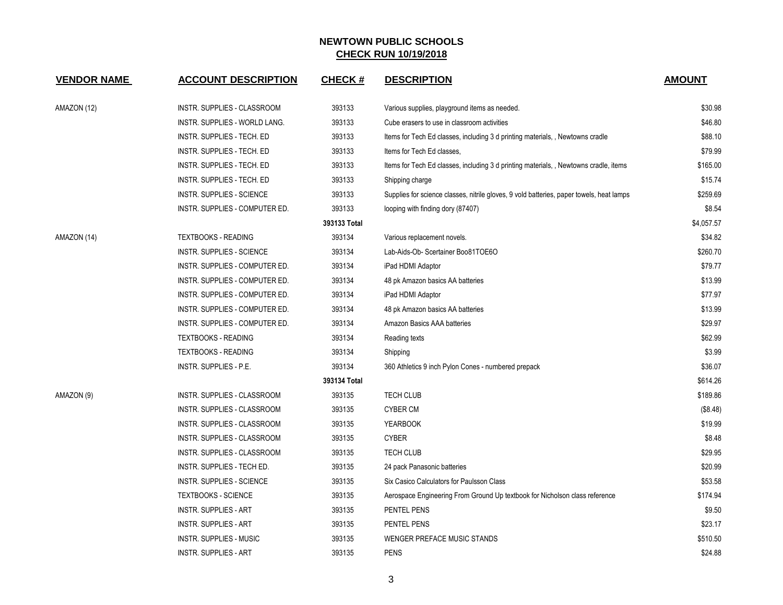| <b>VENDOR NAME</b> | <b>ACCOUNT DESCRIPTION</b>       | <b>CHECK#</b> | <b>DESCRIPTION</b>                                                                       | <b>AMOUNT</b> |
|--------------------|----------------------------------|---------------|------------------------------------------------------------------------------------------|---------------|
| AMAZON (12)        | INSTR. SUPPLIES - CLASSROOM      | 393133        | Various supplies, playground items as needed.                                            | \$30.98       |
|                    | INSTR. SUPPLIES - WORLD LANG.    | 393133        | Cube erasers to use in classroom activities                                              | \$46.80       |
|                    | INSTR. SUPPLIES - TECH. ED       | 393133        | Items for Tech Ed classes, including 3 d printing materials, , Newtowns cradle           | \$88.10       |
|                    | INSTR. SUPPLIES - TECH. ED       | 393133        | Items for Tech Ed classes.                                                               | \$79.99       |
|                    | INSTR. SUPPLIES - TECH. ED       | 393133        | Items for Tech Ed classes, including 3 d printing materials, , Newtowns cradle, items    | \$165.00      |
|                    | INSTR. SUPPLIES - TECH. ED       | 393133        | Shipping charge                                                                          | \$15.74       |
|                    | INSTR. SUPPLIES - SCIENCE        | 393133        | Supplies for science classes, nitrile gloves, 9 vold batteries, paper towels, heat lamps | \$259.69      |
|                    | INSTR. SUPPLIES - COMPUTER ED.   | 393133        | looping with finding dory (87407)                                                        | \$8.54        |
|                    |                                  | 393133 Total  |                                                                                          | \$4,057.57    |
| AMAZON (14)        | <b>TEXTBOOKS - READING</b>       | 393134        | Various replacement novels.                                                              | \$34.82       |
|                    | <b>INSTR. SUPPLIES - SCIENCE</b> | 393134        | Lab-Aids-Ob- Scertainer Boo81TOE6O                                                       | \$260.70      |
|                    | INSTR. SUPPLIES - COMPUTER ED.   | 393134        | iPad HDMI Adaptor                                                                        | \$79.77       |
|                    | INSTR. SUPPLIES - COMPUTER ED.   | 393134        | 48 pk Amazon basics AA batteries                                                         | \$13.99       |
|                    | INSTR. SUPPLIES - COMPUTER ED.   | 393134        | iPad HDMI Adaptor                                                                        | \$77.97       |
|                    | INSTR. SUPPLIES - COMPUTER ED.   | 393134        | 48 pk Amazon basics AA batteries                                                         | \$13.99       |
|                    | INSTR. SUPPLIES - COMPUTER ED.   | 393134        | Amazon Basics AAA batteries                                                              | \$29.97       |
|                    | <b>TEXTBOOKS - READING</b>       | 393134        | Reading texts                                                                            | \$62.99       |
|                    | <b>TEXTBOOKS - READING</b>       | 393134        | Shipping                                                                                 | \$3.99        |
|                    | INSTR. SUPPLIES - P.E.           | 393134        | 360 Athletics 9 inch Pylon Cones - numbered prepack                                      | \$36.07       |
|                    |                                  | 393134 Total  |                                                                                          | \$614.26      |
| AMAZON (9)         | INSTR. SUPPLIES - CLASSROOM      | 393135        | TECH CLUB                                                                                | \$189.86      |
|                    | INSTR. SUPPLIES - CLASSROOM      | 393135        | <b>CYBER CM</b>                                                                          | (\$8.48)      |
|                    | INSTR. SUPPLIES - CLASSROOM      | 393135        | <b>YEARBOOK</b>                                                                          | \$19.99       |
|                    | INSTR. SUPPLIES - CLASSROOM      | 393135        | <b>CYBER</b>                                                                             | \$8.48        |
|                    | INSTR. SUPPLIES - CLASSROOM      | 393135        | <b>TECH CLUB</b>                                                                         | \$29.95       |
|                    | INSTR. SUPPLIES - TECH ED.       | 393135        | 24 pack Panasonic batteries                                                              | \$20.99       |
|                    | <b>INSTR. SUPPLIES - SCIENCE</b> | 393135        | Six Casico Calculators for Paulsson Class                                                | \$53.58       |
|                    | <b>TEXTBOOKS - SCIENCE</b>       | 393135        | Aerospace Engineering From Ground Up textbook for Nicholson class reference              | \$174.94      |
|                    | <b>INSTR. SUPPLIES - ART</b>     | 393135        | PENTEL PENS                                                                              | \$9.50        |
|                    | <b>INSTR. SUPPLIES - ART</b>     | 393135        | PENTEL PENS                                                                              | \$23.17       |
|                    | <b>INSTR. SUPPLIES - MUSIC</b>   | 393135        | WENGER PREFACE MUSIC STANDS                                                              | \$510.50      |
|                    | <b>INSTR. SUPPLIES - ART</b>     | 393135        | <b>PENS</b>                                                                              | \$24.88       |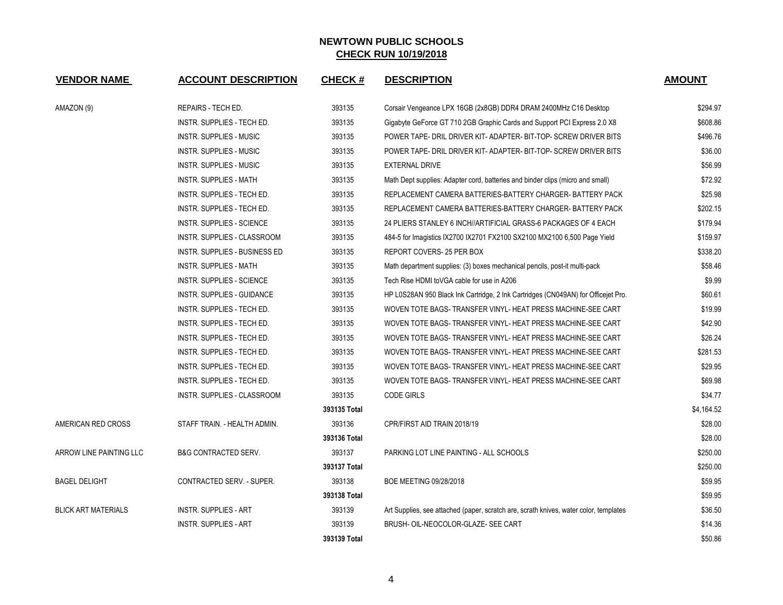| <b>VENDOR NAME</b>         | <b>ACCOUNT DESCRIPTION</b>        | <b>CHECK#</b> | <b>DESCRIPTION</b>                                                                    | <b>AMOUNT</b> |
|----------------------------|-----------------------------------|---------------|---------------------------------------------------------------------------------------|---------------|
| AMAZON (9)                 | REPAIRS - TECH ED.                | 393135        | Corsair Vengeance LPX 16GB (2x8GB) DDR4 DRAM 2400MHz C16 Desktop                      | \$294.97      |
|                            | INSTR. SUPPLIES - TECH ED.        | 393135        | Gigabyte GeForce GT 710 2GB Graphic Cards and Support PCI Express 2.0 X8              | \$608.86      |
|                            | INSTR. SUPPLIES - MUSIC           | 393135        | POWER TAPE- DRIL DRIVER KIT-ADAPTER- BIT-TOP- SCREW DRIVER BITS                       | \$496.76      |
|                            | <b>INSTR. SUPPLIES - MUSIC</b>    | 393135        | POWER TAPE- DRIL DRIVER KIT- ADAPTER- BIT-TOP- SCREW DRIVER BITS                      | \$36.00       |
|                            | <b>INSTR. SUPPLIES - MUSIC</b>    | 393135        | <b>EXTERNAL DRIVE</b>                                                                 | \$56.99       |
|                            | <b>INSTR. SUPPLIES - MATH</b>     | 393135        | Math Dept supplies: Adapter cord, batteries and binder clips (micro and small)        | \$72.92       |
|                            | INSTR. SUPPLIES - TECH ED.        | 393135        | REPLACEMENT CAMERA BATTERIES-BATTERY CHARGER-BATTERY PACK                             | \$25.98       |
|                            | INSTR. SUPPLIES - TECH ED.        | 393135        | REPLACEMENT CAMERA BATTERIES-BATTERY CHARGER-BATTERY PACK                             | \$202.15      |
|                            | INSTR. SUPPLIES - SCIENCE         | 393135        | 24 PLIERS STANLEY 6 INCH//ARTIFICIAL GRASS-6 PACKAGES OF 4 EACH                       | \$179.94      |
|                            | INSTR. SUPPLIES - CLASSROOM       | 393135        | 484-5 for Imagistics IX2700 IX2701 FX2100 SX2100 MX2100 6,500 Page Yield              | \$159.97      |
|                            | INSTR. SUPPLIES - BUSINESS ED     | 393135        | REPORT COVERS- 25 PER BOX                                                             | \$338.20      |
|                            | <b>INSTR. SUPPLIES - MATH</b>     | 393135        | Math department supplies: (3) boxes mechanical pencils, post-it multi-pack            | \$58.46       |
|                            | <b>INSTR. SUPPLIES - SCIENCE</b>  | 393135        | Tech Rise HDMI toVGA cable for use in A206                                            | \$9.99        |
|                            | <b>INSTR. SUPPLIES - GUIDANCE</b> | 393135        | HP L0S28AN 950 Black Ink Cartridge, 2 Ink Cartridges (CN049AN) for Officejet Pro.     | \$60.61       |
|                            | INSTR. SUPPLIES - TECH ED.        | 393135        | WOVEN TOTE BAGS- TRANSFER VINYL- HEAT PRESS MACHINE-SEE CART                          | \$19.99       |
|                            | INSTR. SUPPLIES - TECH ED.        | 393135        | WOVEN TOTE BAGS- TRANSFER VINYL- HEAT PRESS MACHINE-SEE CART                          | \$42.90       |
|                            | INSTR. SUPPLIES - TECH ED.        | 393135        | WOVEN TOTE BAGS- TRANSFER VINYL- HEAT PRESS MACHINE-SEE CART                          | \$26.24       |
|                            | INSTR. SUPPLIES - TECH ED.        | 393135        | WOVEN TOTE BAGS- TRANSFER VINYL- HEAT PRESS MACHINE-SEE CART                          | \$281.53      |
|                            | INSTR. SUPPLIES - TECH ED.        | 393135        | WOVEN TOTE BAGS- TRANSFER VINYL- HEAT PRESS MACHINE-SEE CART                          | \$29.95       |
|                            | INSTR. SUPPLIES - TECH ED.        | 393135        | WOVEN TOTE BAGS- TRANSFER VINYL- HEAT PRESS MACHINE-SEE CART                          | \$69.98       |
|                            | INSTR. SUPPLIES - CLASSROOM       | 393135        | <b>CODE GIRLS</b>                                                                     | \$34.77       |
|                            |                                   | 393135 Total  |                                                                                       | \$4,164.52    |
| AMERICAN RED CROSS         | STAFF TRAIN. - HEALTH ADMIN.      | 393136        | CPR/FIRST AID TRAIN 2018/19                                                           | \$28.00       |
|                            |                                   | 393136 Total  |                                                                                       | \$28.00       |
| ARROW LINE PAINTING LLC    | <b>B&amp;G CONTRACTED SERV.</b>   | 393137        | PARKING LOT LINE PAINTING - ALL SCHOOLS                                               | \$250.00      |
|                            |                                   | 393137 Total  |                                                                                       | \$250.00      |
| <b>BAGEL DELIGHT</b>       | CONTRACTED SERV. - SUPER.         | 393138        | BOE MEETING 09/28/2018                                                                | \$59.95       |
|                            |                                   | 393138 Total  |                                                                                       | \$59.95       |
| <b>BLICK ART MATERIALS</b> | <b>INSTR. SUPPLIES - ART</b>      | 393139        | Art Supplies, see attached (paper, scratch are, scrath knives, water color, templates | \$36.50       |
|                            | <b>INSTR. SUPPLIES - ART</b>      | 393139        | BRUSH- OIL-NEOCOLOR-GLAZE- SEE CART                                                   | \$14.36       |
|                            |                                   | 393139 Total  |                                                                                       | \$50.86       |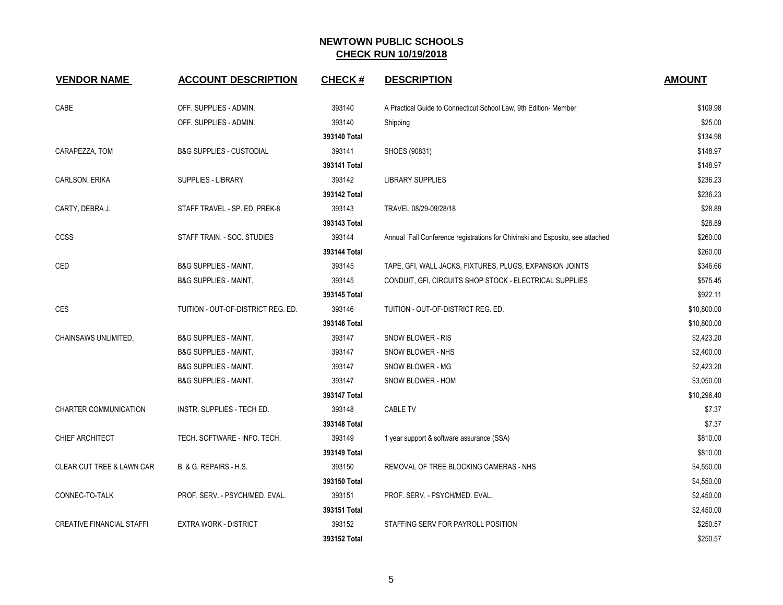| <b>VENDOR NAME</b>                   | <b>ACCOUNT DESCRIPTION</b>          | <b>CHECK#</b> | <b>DESCRIPTION</b>                                                            | <b>AMOUNT</b> |
|--------------------------------------|-------------------------------------|---------------|-------------------------------------------------------------------------------|---------------|
| CABE                                 | OFF. SUPPLIES - ADMIN.              | 393140        | A Practical Guide to Connecticut School Law, 9th Edition- Member              | \$109.98      |
|                                      | OFF. SUPPLIES - ADMIN.              | 393140        | Shipping                                                                      | \$25.00       |
|                                      |                                     | 393140 Total  |                                                                               | \$134.98      |
| CARAPEZZA, TOM                       | <b>B&amp;G SUPPLIES - CUSTODIAL</b> | 393141        | SHOES (90831)                                                                 | \$148.97      |
|                                      |                                     | 393141 Total  |                                                                               | \$148.97      |
| CARLSON, ERIKA                       | <b>SUPPLIES - LIBRARY</b>           | 393142        | LIBRARY SUPPLIES                                                              | \$236.23      |
|                                      |                                     | 393142 Total  |                                                                               | \$236.23      |
| CARTY, DEBRA J.                      | STAFF TRAVEL - SP. ED. PREK-8       | 393143        | TRAVEL 08/29-09/28/18                                                         | \$28.89       |
|                                      |                                     | 393143 Total  |                                                                               | \$28.89       |
| <b>CCSS</b>                          | STAFF TRAIN. - SOC. STUDIES         | 393144        | Annual Fall Conference registrations for Chivinski and Esposito, see attached | \$260.00      |
|                                      |                                     | 393144 Total  |                                                                               | \$260.00      |
| CED                                  | <b>B&amp;G SUPPLIES - MAINT.</b>    | 393145        | TAPE, GFI, WALL JACKS, FIXTURES, PLUGS, EXPANSION JOINTS                      | \$346.66      |
|                                      | <b>B&amp;G SUPPLIES - MAINT.</b>    | 393145        | CONDUIT, GFI, CIRCUITS SHOP STOCK - ELECTRICAL SUPPLIES                       | \$575.45      |
|                                      |                                     | 393145 Total  |                                                                               | \$922.11      |
| CES                                  | TUITION - OUT-OF-DISTRICT REG. ED.  | 393146        | TUITION - OUT-OF-DISTRICT REG. ED.                                            | \$10,800.00   |
|                                      |                                     | 393146 Total  |                                                                               | \$10,800.00   |
| CHAINSAWS UNLIMITED.                 | <b>B&amp;G SUPPLIES - MAINT.</b>    | 393147        | SNOW BLOWER - RIS                                                             | \$2,423.20    |
|                                      | <b>B&amp;G SUPPLIES - MAINT.</b>    | 393147        | SNOW BLOWER - NHS                                                             | \$2,400.00    |
|                                      | <b>B&amp;G SUPPLIES - MAINT.</b>    | 393147        | SNOW BLOWER - MG                                                              | \$2,423.20    |
|                                      | <b>B&amp;G SUPPLIES - MAINT.</b>    | 393147        | SNOW BLOWER - HOM                                                             | \$3,050.00    |
|                                      |                                     | 393147 Total  |                                                                               | \$10,296.40   |
| <b>CHARTER COMMUNICATION</b>         | <b>INSTR. SUPPLIES - TECH ED.</b>   | 393148        | <b>CABLE TV</b>                                                               | \$7.37        |
|                                      |                                     | 393148 Total  |                                                                               | \$7.37        |
| CHIEF ARCHITECT                      | TECH. SOFTWARE - INFO. TECH.        | 393149        | 1 year support & software assurance (SSA)                                     | \$810.00      |
|                                      |                                     | 393149 Total  |                                                                               | \$810.00      |
| <b>CLEAR CUT TREE &amp; LAWN CAR</b> | B. & G. REPAIRS - H.S.              | 393150        | REMOVAL OF TREE BLOCKING CAMERAS - NHS                                        | \$4,550.00    |
|                                      |                                     | 393150 Total  |                                                                               | \$4,550.00    |
| CONNEC-TO-TALK                       | PROF. SERV. - PSYCH/MED. EVAL.      | 393151        | PROF. SERV. - PSYCH/MED. EVAL.                                                | \$2,450.00    |
|                                      |                                     | 393151 Total  |                                                                               | \$2,450.00    |
| <b>CREATIVE FINANCIAL STAFFI</b>     | <b>EXTRA WORK - DISTRICT</b>        | 393152        | STAFFING SERV FOR PAYROLL POSITION                                            | \$250.57      |
|                                      |                                     | 393152 Total  |                                                                               | \$250.57      |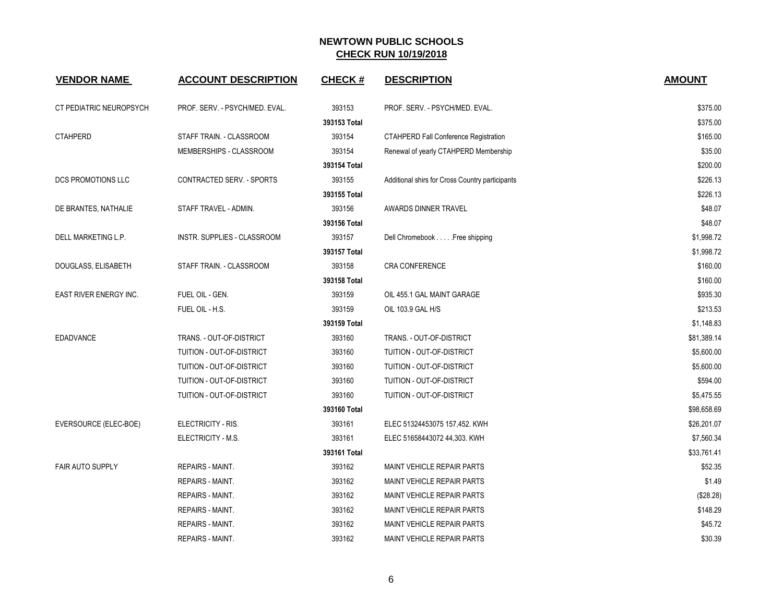| <b>VENDOR NAME</b>      | <b>ACCOUNT DESCRIPTION</b>     | <b>CHECK#</b> | <b>DESCRIPTION</b>                              | <b>AMOUNT</b> |
|-------------------------|--------------------------------|---------------|-------------------------------------------------|---------------|
| CT PEDIATRIC NEUROPSYCH | PROF. SERV. - PSYCH/MED. EVAL. | 393153        | PROF. SERV. - PSYCH/MED. EVAL.                  | \$375.00      |
|                         |                                | 393153 Total  |                                                 | \$375.00      |
| <b>CTAHPERD</b>         | STAFF TRAIN. - CLASSROOM       | 393154        | <b>CTAHPERD Fall Conference Registration</b>    | \$165.00      |
|                         | MEMBERSHIPS - CLASSROOM        | 393154        | Renewal of yearly CTAHPERD Membership           | \$35.00       |
|                         |                                | 393154 Total  |                                                 | \$200.00      |
| DCS PROMOTIONS LLC      | CONTRACTED SERV. - SPORTS      | 393155        | Additional shirs for Cross Country participants | \$226.13      |
|                         |                                | 393155 Total  |                                                 | \$226.13      |
| DE BRANTES, NATHALIE    | STAFF TRAVEL - ADMIN.          | 393156        | AWARDS DINNER TRAVEL                            | \$48.07       |
|                         |                                | 393156 Total  |                                                 | \$48.07       |
| DELL MARKETING L.P.     | INSTR. SUPPLIES - CLASSROOM    | 393157        | Dell Chromebook Free shipping                   | \$1,998.72    |
|                         |                                | 393157 Total  |                                                 | \$1,998.72    |
| DOUGLASS, ELISABETH     | STAFF TRAIN. - CLASSROOM       | 393158        | <b>CRA CONFERENCE</b>                           | \$160.00      |
|                         |                                | 393158 Total  |                                                 | \$160.00      |
| EAST RIVER ENERGY INC.  | FUEL OIL - GEN.                | 393159        | OIL 455.1 GAL MAINT GARAGE                      | \$935.30      |
|                         | FUEL OIL - H.S.                | 393159        | OIL 103.9 GAL H/S                               | \$213.53      |
|                         |                                | 393159 Total  |                                                 | \$1,148.83    |
| <b>EDADVANCE</b>        | TRANS. - OUT-OF-DISTRICT       | 393160        | TRANS. - OUT-OF-DISTRICT                        | \$81,389.14   |
|                         | TUITION - OUT-OF-DISTRICT      | 393160        | TUITION - OUT-OF-DISTRICT                       | \$5,600.00    |
|                         | TUITION - OUT-OF-DISTRICT      | 393160        | TUITION - OUT-OF-DISTRICT                       | \$5,600.00    |
|                         | TUITION - OUT-OF-DISTRICT      | 393160        | TUITION - OUT-OF-DISTRICT                       | \$594.00      |
|                         | TUITION - OUT-OF-DISTRICT      | 393160        | TUITION - OUT-OF-DISTRICT                       | \$5,475.55    |
|                         |                                | 393160 Total  |                                                 | \$98,658.69   |
| EVERSOURCE (ELEC-BOE)   | ELECTRICITY - RIS.             | 393161        | ELEC 51324453075 157,452. KWH                   | \$26,201.07   |
|                         | ELECTRICITY - M.S.             | 393161        | ELEC 51658443072 44,303. KWH                    | \$7,560.34    |
|                         |                                | 393161 Total  |                                                 | \$33,761.41   |
| <b>FAIR AUTO SUPPLY</b> | <b>REPAIRS - MAINT.</b>        | 393162        | <b>MAINT VEHICLE REPAIR PARTS</b>               | \$52.35       |
|                         | <b>REPAIRS - MAINT.</b>        | 393162        | <b>MAINT VEHICLE REPAIR PARTS</b>               | \$1.49        |
|                         | <b>REPAIRS - MAINT.</b>        | 393162        | <b>MAINT VEHICLE REPAIR PARTS</b>               | (\$28.28)     |
|                         | <b>REPAIRS - MAINT.</b>        | 393162        | <b>MAINT VEHICLE REPAIR PARTS</b>               | \$148.29      |
|                         | <b>REPAIRS - MAINT.</b>        | 393162        | <b>MAINT VEHICLE REPAIR PARTS</b>               | \$45.72       |
|                         | <b>REPAIRS - MAINT.</b>        | 393162        | MAINT VEHICLE REPAIR PARTS                      | \$30.39       |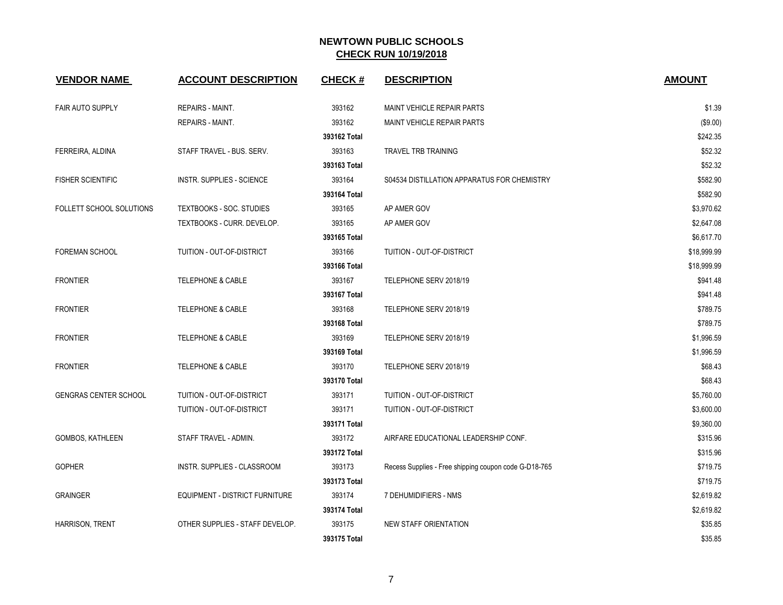| <b>VENDOR NAME</b>           | <b>ACCOUNT DESCRIPTION</b>       | <b>CHECK#</b> | <b>DESCRIPTION</b>                                    | <b>AMOUNT</b> |
|------------------------------|----------------------------------|---------------|-------------------------------------------------------|---------------|
| <b>FAIR AUTO SUPPLY</b>      | <b>REPAIRS - MAINT.</b>          | 393162        | MAINT VEHICLE REPAIR PARTS                            | \$1.39        |
|                              | REPAIRS - MAINT.                 | 393162        | MAINT VEHICLE REPAIR PARTS                            | (\$9.00)      |
|                              |                                  | 393162 Total  |                                                       | \$242.35      |
| FERREIRA, ALDINA             | STAFF TRAVEL - BUS. SERV.        | 393163        | <b>TRAVEL TRB TRAINING</b>                            | \$52.32       |
|                              |                                  | 393163 Total  |                                                       | \$52.32       |
| <b>FISHER SCIENTIFIC</b>     | <b>INSTR. SUPPLIES - SCIENCE</b> | 393164        | S04534 DISTILLATION APPARATUS FOR CHEMISTRY           | \$582.90      |
|                              |                                  | 393164 Total  |                                                       | \$582.90      |
| FOLLETT SCHOOL SOLUTIONS     | TEXTBOOKS - SOC. STUDIES         | 393165        | AP AMER GOV                                           | \$3,970.62    |
|                              | TEXTBOOKS - CURR. DEVELOP.       | 393165        | AP AMER GOV                                           | \$2,647.08    |
|                              |                                  | 393165 Total  |                                                       | \$6,617.70    |
| <b>FOREMAN SCHOOL</b>        | TUITION - OUT-OF-DISTRICT        | 393166        | TUITION - OUT-OF-DISTRICT                             | \$18,999.99   |
|                              |                                  | 393166 Total  |                                                       | \$18,999.99   |
| <b>FRONTIER</b>              | <b>TELEPHONE &amp; CABLE</b>     | 393167        | TELEPHONE SERV 2018/19                                | \$941.48      |
|                              |                                  | 393167 Total  |                                                       | \$941.48      |
| <b>FRONTIER</b>              | <b>TELEPHONE &amp; CABLE</b>     | 393168        | TELEPHONE SERV 2018/19                                | \$789.75      |
|                              |                                  | 393168 Total  |                                                       | \$789.75      |
| <b>FRONTIER</b>              | <b>TELEPHONE &amp; CABLE</b>     | 393169        | TELEPHONE SERV 2018/19                                | \$1,996.59    |
|                              |                                  | 393169 Total  |                                                       | \$1,996.59    |
| <b>FRONTIER</b>              | <b>TELEPHONE &amp; CABLE</b>     | 393170        | TELEPHONE SERV 2018/19                                | \$68.43       |
|                              |                                  | 393170 Total  |                                                       | \$68.43       |
| <b>GENGRAS CENTER SCHOOL</b> | TUITION - OUT-OF-DISTRICT        | 393171        | TUITION - OUT-OF-DISTRICT                             | \$5,760.00    |
|                              | TUITION - OUT-OF-DISTRICT        | 393171        | TUITION - OUT-OF-DISTRICT                             | \$3,600.00    |
|                              |                                  | 393171 Total  |                                                       | \$9,360.00    |
| <b>GOMBOS, KATHLEEN</b>      | STAFF TRAVEL - ADMIN.            | 393172        | AIRFARE EDUCATIONAL LEADERSHIP CONF.                  | \$315.96      |
|                              |                                  | 393172 Total  |                                                       | \$315.96      |
| <b>GOPHER</b>                | INSTR. SUPPLIES - CLASSROOM      | 393173        | Recess Supplies - Free shipping coupon code G-D18-765 | \$719.75      |
|                              |                                  | 393173 Total  |                                                       | \$719.75      |
| <b>GRAINGER</b>              | EQUIPMENT - DISTRICT FURNITURE   | 393174        | 7 DEHUMIDIFIERS - NMS                                 | \$2,619.82    |
|                              |                                  | 393174 Total  |                                                       | \$2,619.82    |
| HARRISON, TRENT              | OTHER SUPPLIES - STAFF DEVELOP.  | 393175        | NEW STAFF ORIENTATION                                 | \$35.85       |
|                              |                                  | 393175 Total  |                                                       | \$35.85       |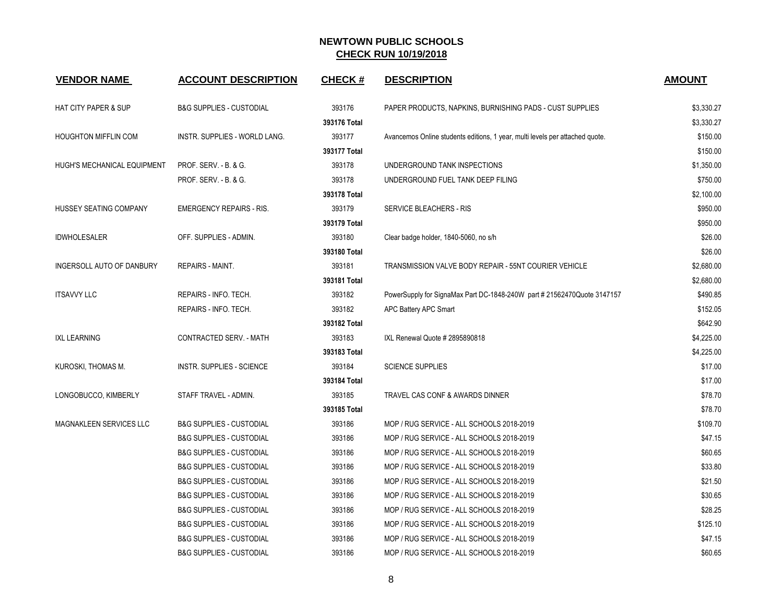| <b>VENDOR NAME</b>              | <b>ACCOUNT DESCRIPTION</b>          | <b>CHECK#</b> | <b>DESCRIPTION</b>                                                           | <b>AMOUNT</b> |
|---------------------------------|-------------------------------------|---------------|------------------------------------------------------------------------------|---------------|
| <b>HAT CITY PAPER &amp; SUP</b> | <b>B&amp;G SUPPLIES - CUSTODIAL</b> | 393176        | PAPER PRODUCTS, NAPKINS, BURNISHING PADS - CUST SUPPLIES                     | \$3,330.27    |
|                                 |                                     | 393176 Total  |                                                                              | \$3,330.27    |
| <b>HOUGHTON MIFFLIN COM</b>     | INSTR. SUPPLIES - WORLD LANG.       | 393177        | Avancemos Online students editions, 1 year, multi levels per attached quote. | \$150.00      |
|                                 |                                     | 393177 Total  |                                                                              | \$150.00      |
| HUGH'S MECHANICAL EQUIPMENT     | <b>PROF. SERV. - B. &amp; G.</b>    | 393178        | UNDERGROUND TANK INSPECTIONS                                                 | \$1,350.00    |
|                                 | PROF. SERV. - B. & G.               | 393178        | UNDERGROUND FUEL TANK DEEP FILING                                            | \$750.00      |
|                                 |                                     | 393178 Total  |                                                                              | \$2,100.00    |
| HUSSEY SEATING COMPANY          | <b>EMERGENCY REPAIRS - RIS.</b>     | 393179        | SERVICE BLEACHERS - RIS                                                      | \$950.00      |
|                                 |                                     | 393179 Total  |                                                                              | \$950.00      |
| <b>IDWHOLESALER</b>             | OFF. SUPPLIES - ADMIN.              | 393180        | Clear badge holder, 1840-5060, no s/h                                        | \$26.00       |
|                                 |                                     | 393180 Total  |                                                                              | \$26.00       |
| INGERSOLL AUTO OF DANBURY       | <b>REPAIRS - MAINT.</b>             | 393181        | TRANSMISSION VALVE BODY REPAIR - 55NT COURIER VEHICLE                        | \$2,680.00    |
|                                 |                                     | 393181 Total  |                                                                              | \$2,680.00    |
| <b>ITSAVVY LLC</b>              | REPAIRS - INFO. TECH.               | 393182        | PowerSupply for SignaMax Part DC-1848-240W part # 21562470Quote 3147157      | \$490.85      |
|                                 | REPAIRS - INFO. TECH.               | 393182        | APC Battery APC Smart                                                        | \$152.05      |
|                                 |                                     | 393182 Total  |                                                                              | \$642.90      |
| <b>IXL LEARNING</b>             | CONTRACTED SERV. - MATH             | 393183        | IXL Renewal Quote # 2895890818                                               | \$4,225.00    |
|                                 |                                     | 393183 Total  |                                                                              | \$4,225.00    |
| KUROSKI, THOMAS M.              | INSTR. SUPPLIES - SCIENCE           | 393184        | <b>SCIENCE SUPPLIES</b>                                                      | \$17.00       |
|                                 |                                     | 393184 Total  |                                                                              | \$17.00       |
| LONGOBUCCO, KIMBERLY            | STAFF TRAVEL - ADMIN.               | 393185        | TRAVEL CAS CONF & AWARDS DINNER                                              | \$78.70       |
|                                 |                                     | 393185 Total  |                                                                              | \$78.70       |
| <b>MAGNAKLEEN SERVICES LLC</b>  | <b>B&amp;G SUPPLIES - CUSTODIAL</b> | 393186        | MOP / RUG SERVICE - ALL SCHOOLS 2018-2019                                    | \$109.70      |
|                                 | <b>B&amp;G SUPPLIES - CUSTODIAL</b> | 393186        | MOP / RUG SERVICE - ALL SCHOOLS 2018-2019                                    | \$47.15       |
|                                 | <b>B&amp;G SUPPLIES - CUSTODIAL</b> | 393186        | MOP / RUG SERVICE - ALL SCHOOLS 2018-2019                                    | \$60.65       |
|                                 | <b>B&amp;G SUPPLIES - CUSTODIAL</b> | 393186        | MOP / RUG SERVICE - ALL SCHOOLS 2018-2019                                    | \$33.80       |
|                                 | <b>B&amp;G SUPPLIES - CUSTODIAL</b> | 393186        | MOP / RUG SERVICE - ALL SCHOOLS 2018-2019                                    | \$21.50       |
|                                 | <b>B&amp;G SUPPLIES - CUSTODIAL</b> | 393186        | MOP / RUG SERVICE - ALL SCHOOLS 2018-2019                                    | \$30.65       |
|                                 | <b>B&amp;G SUPPLIES - CUSTODIAL</b> | 393186        | MOP / RUG SERVICE - ALL SCHOOLS 2018-2019                                    | \$28.25       |
|                                 | <b>B&amp;G SUPPLIES - CUSTODIAL</b> | 393186        | MOP / RUG SERVICE - ALL SCHOOLS 2018-2019                                    | \$125.10      |
|                                 | <b>B&amp;G SUPPLIES - CUSTODIAL</b> | 393186        | MOP / RUG SERVICE - ALL SCHOOLS 2018-2019                                    | \$47.15       |
|                                 | <b>B&amp;G SUPPLIES - CUSTODIAL</b> | 393186        | MOP / RUG SERVICE - ALL SCHOOLS 2018-2019                                    | \$60.65       |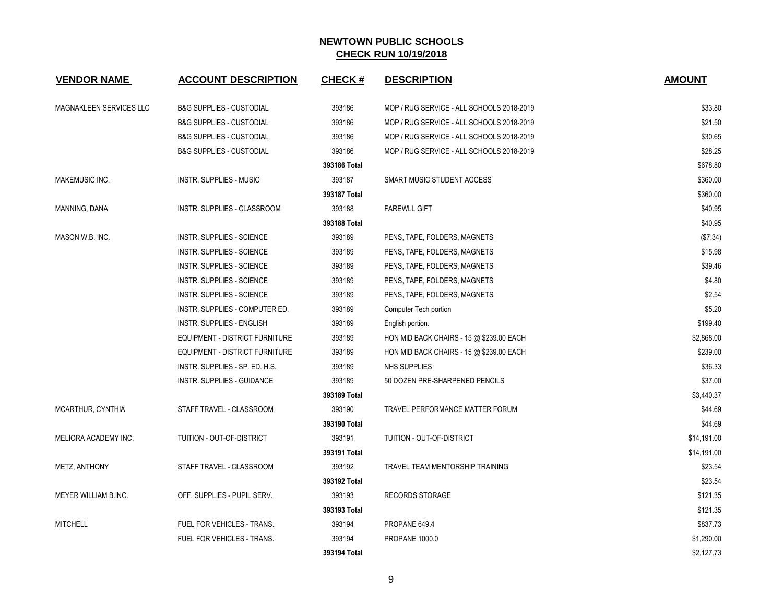| <b>VENDOR NAME</b>      | <b>ACCOUNT DESCRIPTION</b>            | <b>CHECK#</b> | <b>DESCRIPTION</b>                        | <b>AMOUNT</b> |
|-------------------------|---------------------------------------|---------------|-------------------------------------------|---------------|
| MAGNAKLEEN SERVICES LLC | <b>B&amp;G SUPPLIES - CUSTODIAL</b>   | 393186        | MOP / RUG SERVICE - ALL SCHOOLS 2018-2019 | \$33.80       |
|                         | <b>B&amp;G SUPPLIES - CUSTODIAL</b>   | 393186        | MOP / RUG SERVICE - ALL SCHOOLS 2018-2019 | \$21.50       |
|                         | <b>B&amp;G SUPPLIES - CUSTODIAL</b>   | 393186        | MOP / RUG SERVICE - ALL SCHOOLS 2018-2019 | \$30.65       |
|                         | <b>B&amp;G SUPPLIES - CUSTODIAL</b>   | 393186        | MOP / RUG SERVICE - ALL SCHOOLS 2018-2019 | \$28.25       |
|                         |                                       | 393186 Total  |                                           | \$678.80      |
| <b>MAKEMUSIC INC.</b>   | INSTR. SUPPLIES - MUSIC               | 393187        | <b>SMART MUSIC STUDENT ACCESS</b>         | \$360.00      |
|                         |                                       | 393187 Total  |                                           | \$360.00      |
| MANNING, DANA           | INSTR. SUPPLIES - CLASSROOM           | 393188        | <b>FAREWLL GIFT</b>                       | \$40.95       |
|                         |                                       | 393188 Total  |                                           | \$40.95       |
| MASON W.B. INC.         | INSTR. SUPPLIES - SCIENCE             | 393189        | PENS, TAPE, FOLDERS, MAGNETS              | (\$7.34)      |
|                         | <b>INSTR. SUPPLIES - SCIENCE</b>      | 393189        | PENS, TAPE, FOLDERS, MAGNETS              | \$15.98       |
|                         | INSTR. SUPPLIES - SCIENCE             | 393189        | PENS, TAPE, FOLDERS, MAGNETS              | \$39.46       |
|                         | INSTR. SUPPLIES - SCIENCE             | 393189        | PENS, TAPE, FOLDERS, MAGNETS              | \$4.80        |
|                         | INSTR. SUPPLIES - SCIENCE             | 393189        | PENS, TAPE, FOLDERS, MAGNETS              | \$2.54        |
|                         | INSTR. SUPPLIES - COMPUTER ED.        | 393189        | Computer Tech portion                     | \$5.20        |
|                         | INSTR. SUPPLIES - ENGLISH             | 393189        | English portion.                          | \$199.40      |
|                         | <b>EQUIPMENT - DISTRICT FURNITURE</b> | 393189        | HON MID BACK CHAIRS - 15 @ \$239.00 EACH  | \$2,868.00    |
|                         | EQUIPMENT - DISTRICT FURNITURE        | 393189        | HON MID BACK CHAIRS - 15 @ \$239.00 EACH  | \$239.00      |
|                         | INSTR. SUPPLIES - SP. ED. H.S.        | 393189        | NHS SUPPLIES                              | \$36.33       |
|                         | INSTR. SUPPLIES - GUIDANCE            | 393189        | 50 DOZEN PRE-SHARPENED PENCILS            | \$37.00       |
|                         |                                       | 393189 Total  |                                           | \$3,440.37    |
| MCARTHUR, CYNTHIA       | STAFF TRAVEL - CLASSROOM              | 393190        | TRAVEL PERFORMANCE MATTER FORUM           | \$44.69       |
|                         |                                       | 393190 Total  |                                           | \$44.69       |
| MELIORA ACADEMY INC.    | TUITION - OUT-OF-DISTRICT             | 393191        | TUITION - OUT-OF-DISTRICT                 | \$14,191.00   |
|                         |                                       | 393191 Total  |                                           | \$14,191.00   |
| METZ, ANTHONY           | STAFF TRAVEL - CLASSROOM              | 393192        | TRAVEL TEAM MENTORSHIP TRAINING           | \$23.54       |
|                         |                                       | 393192 Total  |                                           | \$23.54       |
| MEYER WILLIAM B.INC.    | OFF. SUPPLIES - PUPIL SERV.           | 393193        | <b>RECORDS STORAGE</b>                    | \$121.35      |
|                         |                                       | 393193 Total  |                                           | \$121.35      |
| <b>MITCHELL</b>         | FUEL FOR VEHICLES - TRANS.            | 393194        | PROPANE 649.4                             | \$837.73      |
|                         | FUEL FOR VEHICLES - TRANS.            | 393194        | <b>PROPANE 1000.0</b>                     | \$1,290.00    |
|                         |                                       | 393194 Total  |                                           | \$2,127.73    |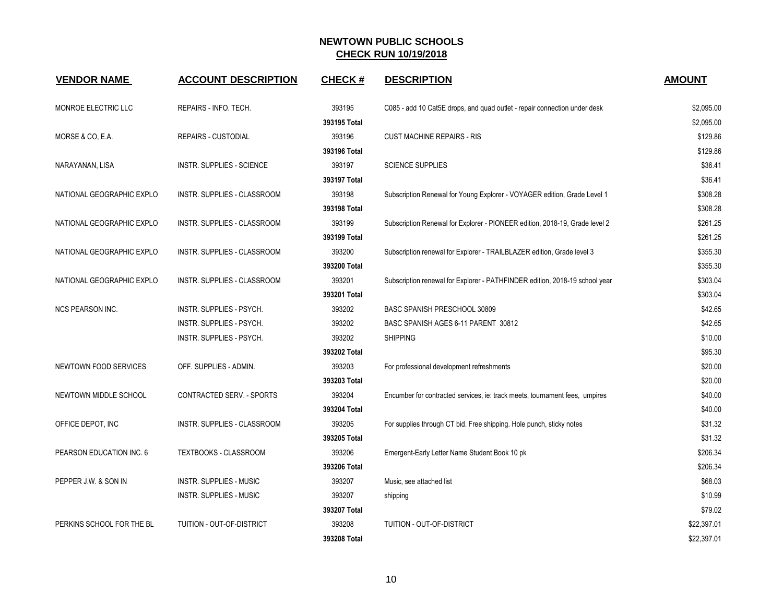| <b>VENDOR NAME</b>           | <b>ACCOUNT DESCRIPTION</b>       | <b>CHECK#</b> | <b>DESCRIPTION</b>                                                          | <b>AMOUNT</b> |
|------------------------------|----------------------------------|---------------|-----------------------------------------------------------------------------|---------------|
| MONROE ELECTRIC LLC          | REPAIRS - INFO. TECH.            | 393195        | C085 - add 10 Cat5E drops, and quad outlet - repair connection under desk   | \$2,095.00    |
|                              |                                  | 393195 Total  |                                                                             | \$2,095.00    |
| MORSE & CO, E.A.             | <b>REPAIRS - CUSTODIAL</b>       | 393196        | <b>CUST MACHINE REPAIRS - RIS</b>                                           | \$129.86      |
|                              |                                  | 393196 Total  |                                                                             | \$129.86      |
| NARAYANAN, LISA              | <b>INSTR. SUPPLIES - SCIENCE</b> | 393197        | <b>SCIENCE SUPPLIES</b>                                                     | \$36.41       |
|                              |                                  | 393197 Total  |                                                                             | \$36.41       |
| NATIONAL GEOGRAPHIC EXPLO    | INSTR. SUPPLIES - CLASSROOM      | 393198        | Subscription Renewal for Young Explorer - VOYAGER edition, Grade Level 1    | \$308.28      |
|                              |                                  | 393198 Total  |                                                                             | \$308.28      |
| NATIONAL GEOGRAPHIC EXPLO    | INSTR. SUPPLIES - CLASSROOM      | 393199        | Subscription Renewal for Explorer - PIONEER edition, 2018-19, Grade level 2 | \$261.25      |
|                              |                                  | 393199 Total  |                                                                             | \$261.25      |
| NATIONAL GEOGRAPHIC EXPLO    | INSTR. SUPPLIES - CLASSROOM      | 393200        | Subscription renewal for Explorer - TRAILBLAZER edition, Grade level 3      | \$355.30      |
|                              |                                  | 393200 Total  |                                                                             | \$355.30      |
| NATIONAL GEOGRAPHIC EXPLO    | INSTR. SUPPLIES - CLASSROOM      | 393201        | Subscription renewal for Explorer - PATHFINDER edition, 2018-19 school year | \$303.04      |
|                              |                                  | 393201 Total  |                                                                             | \$303.04      |
| <b>NCS PEARSON INC.</b>      | INSTR. SUPPLIES - PSYCH.         | 393202        | BASC SPANISH PRESCHOOL 30809                                                | \$42.65       |
|                              | INSTR. SUPPLIES - PSYCH.         | 393202        | BASC SPANISH AGES 6-11 PARENT 30812                                         | \$42.65       |
|                              | INSTR. SUPPLIES - PSYCH.         | 393202        | <b>SHIPPING</b>                                                             | \$10.00       |
|                              |                                  | 393202 Total  |                                                                             | \$95.30       |
| <b>NEWTOWN FOOD SERVICES</b> | OFF. SUPPLIES - ADMIN.           | 393203        | For professional development refreshments                                   | \$20.00       |
|                              |                                  | 393203 Total  |                                                                             | \$20.00       |
| NEWTOWN MIDDLE SCHOOL        | <b>CONTRACTED SERV. - SPORTS</b> | 393204        | Encumber for contracted services, ie: track meets, tournament fees, umpires | \$40.00       |
|                              |                                  | 393204 Total  |                                                                             | \$40.00       |
| OFFICE DEPOT, INC            | INSTR. SUPPLIES - CLASSROOM      | 393205        | For supplies through CT bid. Free shipping. Hole punch, sticky notes        | \$31.32       |
|                              |                                  | 393205 Total  |                                                                             | \$31.32       |
| PEARSON EDUCATION INC. 6     | TEXTBOOKS - CLASSROOM            | 393206        | Emergent-Early Letter Name Student Book 10 pk                               | \$206.34      |
|                              |                                  | 393206 Total  |                                                                             | \$206.34      |
| PEPPER J.W. & SON IN         | <b>INSTR. SUPPLIES - MUSIC</b>   | 393207        | Music, see attached list                                                    | \$68.03       |
|                              | <b>INSTR. SUPPLIES - MUSIC</b>   | 393207        | shipping                                                                    | \$10.99       |
|                              |                                  | 393207 Total  |                                                                             | \$79.02       |
| PERKINS SCHOOL FOR THE BL    | <b>TUITION - OUT-OF-DISTRICT</b> | 393208        | TUITION - OUT-OF-DISTRICT                                                   | \$22,397.01   |
|                              |                                  | 393208 Total  |                                                                             | \$22,397.01   |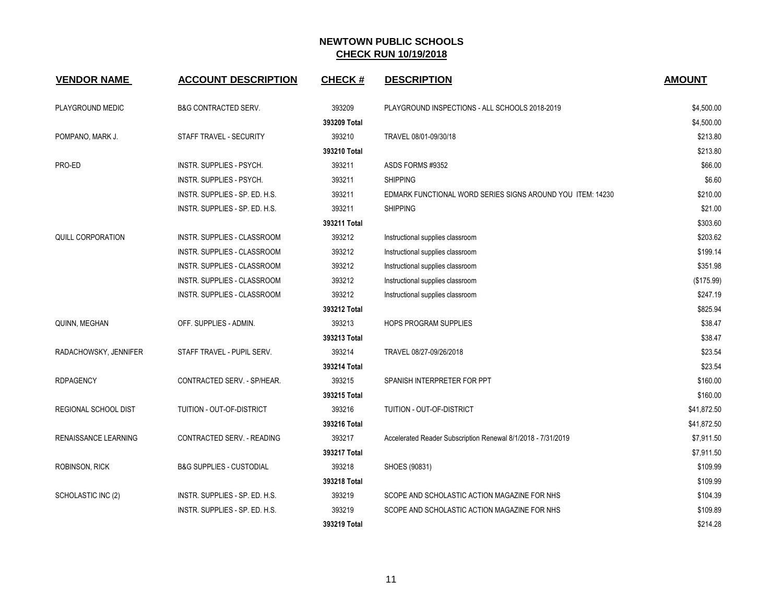| <b>VENDOR NAME</b>       | <b>ACCOUNT DESCRIPTION</b>          | <b>CHECK#</b> | <b>DESCRIPTION</b>                                           | <b>AMOUNT</b> |
|--------------------------|-------------------------------------|---------------|--------------------------------------------------------------|---------------|
| PLAYGROUND MEDIC         | <b>B&amp;G CONTRACTED SERV.</b>     | 393209        | PLAYGROUND INSPECTIONS - ALL SCHOOLS 2018-2019               | \$4,500.00    |
|                          |                                     | 393209 Total  |                                                              | \$4,500.00    |
| POMPANO, MARK J.         | STAFF TRAVEL - SECURITY             | 393210        | TRAVEL 08/01-09/30/18                                        | \$213.80      |
|                          |                                     | 393210 Total  |                                                              | \$213.80      |
| PRO-ED                   | INSTR. SUPPLIES - PSYCH.            | 393211        | ASDS FORMS #9352                                             | \$66.00       |
|                          | INSTR. SUPPLIES - PSYCH.            | 393211        | <b>SHIPPING</b>                                              | \$6.60        |
|                          | INSTR. SUPPLIES - SP. ED. H.S.      | 393211        | EDMARK FUNCTIONAL WORD SERIES SIGNS AROUND YOU ITEM: 14230   | \$210.00      |
|                          | INSTR. SUPPLIES - SP. ED. H.S.      | 393211        | <b>SHIPPING</b>                                              | \$21.00       |
|                          |                                     | 393211 Total  |                                                              | \$303.60      |
| <b>QUILL CORPORATION</b> | INSTR. SUPPLIES - CLASSROOM         | 393212        | Instructional supplies classroom                             | \$203.62      |
|                          | INSTR. SUPPLIES - CLASSROOM         | 393212        | Instructional supplies classroom                             | \$199.14      |
|                          | INSTR. SUPPLIES - CLASSROOM         | 393212        | Instructional supplies classroom                             | \$351.98      |
|                          | INSTR. SUPPLIES - CLASSROOM         | 393212        | Instructional supplies classroom                             | (\$175.99)    |
|                          | INSTR. SUPPLIES - CLASSROOM         | 393212        | Instructional supplies classroom                             | \$247.19      |
|                          |                                     | 393212 Total  |                                                              | \$825.94      |
| QUINN, MEGHAN            | OFF. SUPPLIES - ADMIN.              | 393213        | <b>HOPS PROGRAM SUPPLIES</b>                                 | \$38.47       |
|                          |                                     | 393213 Total  |                                                              | \$38.47       |
| RADACHOWSKY, JENNIFER    | STAFF TRAVEL - PUPIL SERV.          | 393214        | TRAVEL 08/27-09/26/2018                                      | \$23.54       |
|                          |                                     | 393214 Total  |                                                              | \$23.54       |
| <b>RDPAGENCY</b>         | CONTRACTED SERV. - SP/HEAR.         | 393215        | SPANISH INTERPRETER FOR PPT                                  | \$160.00      |
|                          |                                     | 393215 Total  |                                                              | \$160.00      |
| REGIONAL SCHOOL DIST     | TUITION - OUT-OF-DISTRICT           | 393216        | TUITION - OUT-OF-DISTRICT                                    | \$41,872.50   |
|                          |                                     | 393216 Total  |                                                              | \$41,872.50   |
| RENAISSANCE LEARNING     | CONTRACTED SERV. - READING          | 393217        | Accelerated Reader Subscription Renewal 8/1/2018 - 7/31/2019 | \$7,911.50    |
|                          |                                     | 393217 Total  |                                                              | \$7,911.50    |
| ROBINSON, RICK           | <b>B&amp;G SUPPLIES - CUSTODIAL</b> | 393218        | SHOES (90831)                                                | \$109.99      |
|                          |                                     | 393218 Total  |                                                              | \$109.99      |
| SCHOLASTIC INC (2)       | INSTR. SUPPLIES - SP. ED. H.S.      | 393219        | SCOPE AND SCHOLASTIC ACTION MAGAZINE FOR NHS                 | \$104.39      |
|                          | INSTR. SUPPLIES - SP. ED. H.S.      | 393219        | SCOPE AND SCHOLASTIC ACTION MAGAZINE FOR NHS                 | \$109.89      |
|                          |                                     | 393219 Total  |                                                              | \$214.28      |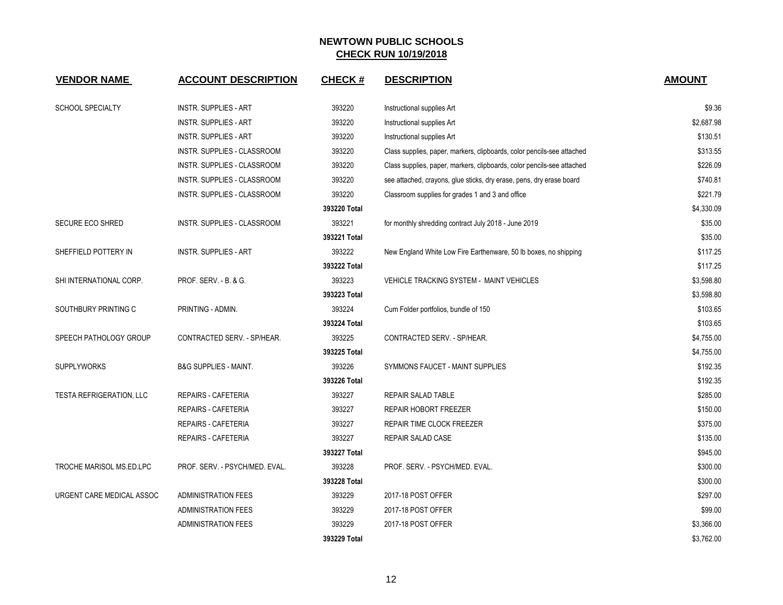| <b>VENDOR NAME</b>              | <b>ACCOUNT DESCRIPTION</b>         | <b>CHECK#</b> | <b>DESCRIPTION</b>                                                     | <b>AMOUNT</b> |
|---------------------------------|------------------------------------|---------------|------------------------------------------------------------------------|---------------|
| <b>SCHOOL SPECIALTY</b>         | <b>INSTR. SUPPLIES - ART</b>       | 393220        | Instructional supplies Art                                             | \$9.36        |
|                                 | <b>INSTR. SUPPLIES - ART</b>       | 393220        | Instructional supplies Art                                             | \$2,687.98    |
|                                 | <b>INSTR. SUPPLIES - ART</b>       | 393220        | Instructional supplies Art                                             | \$130.51      |
|                                 | INSTR. SUPPLIES - CLASSROOM        | 393220        | Class supplies, paper, markers, clipboards, color pencils-see attached | \$313.55      |
|                                 | INSTR. SUPPLIES - CLASSROOM        | 393220        | Class supplies, paper, markers, clipboards, color pencils-see attached | \$226.09      |
|                                 | INSTR. SUPPLIES - CLASSROOM        | 393220        | see attached, crayons, glue sticks, dry erase, pens, dry erase board   | \$740.81      |
|                                 | INSTR. SUPPLIES - CLASSROOM        | 393220        | Classroom supplies for grades 1 and 3 and office                       | \$221.79      |
|                                 |                                    | 393220 Total  |                                                                        | \$4,330.09    |
| <b>SECURE ECO SHRED</b>         | <b>INSTR. SUPPLIES - CLASSROOM</b> | 393221        | for monthly shredding contract July 2018 - June 2019                   | \$35.00       |
|                                 |                                    | 393221 Total  |                                                                        | \$35.00       |
| SHEFFIELD POTTERY IN            | <b>INSTR. SUPPLIES - ART</b>       | 393222        | New England White Low Fire Earthenware, 50 lb boxes, no shipping       | \$117.25      |
|                                 |                                    | 393222 Total  |                                                                        | \$117.25      |
| SHI INTERNATIONAL CORP.         | PROF. SERV. - B. & G.              | 393223        | VEHICLE TRACKING SYSTEM - MAINT VEHICLES                               | \$3,598.80    |
|                                 |                                    | 393223 Total  |                                                                        | \$3,598.80    |
| SOUTHBURY PRINTING C            | PRINTING - ADMIN.                  | 393224        | Cum Folder portfolios, bundle of 150                                   | \$103.65      |
|                                 |                                    | 393224 Total  |                                                                        | \$103.65      |
| SPEECH PATHOLOGY GROUP          | CONTRACTED SERV. - SP/HEAR.        | 393225        | CONTRACTED SERV. - SP/HEAR.                                            | \$4,755.00    |
|                                 |                                    | 393225 Total  |                                                                        | \$4,755.00    |
| <b>SUPPLYWORKS</b>              | <b>B&amp;G SUPPLIES - MAINT.</b>   | 393226        | SYMMONS FAUCET - MAINT SUPPLIES                                        | \$192.35      |
|                                 |                                    | 393226 Total  |                                                                        | \$192.35      |
| <b>TESTA REFRIGERATION, LLC</b> | REPAIRS - CAFETERIA                | 393227        | REPAIR SALAD TABLE                                                     | \$285.00      |
|                                 | REPAIRS - CAFETERIA                | 393227        | <b>REPAIR HOBORT FREEZER</b>                                           | \$150.00      |
|                                 | <b>REPAIRS - CAFETERIA</b>         | 393227        | REPAIR TIME CLOCK FREEZER                                              | \$375.00      |
|                                 | <b>REPAIRS - CAFETERIA</b>         | 393227        | REPAIR SALAD CASE                                                      | \$135.00      |
|                                 |                                    | 393227 Total  |                                                                        | \$945.00      |
| TROCHE MARISOL MS.ED.LPC        | PROF. SERV. - PSYCH/MED. EVAL.     | 393228        | PROF. SERV. - PSYCH/MED. EVAL.                                         | \$300.00      |
|                                 |                                    | 393228 Total  |                                                                        | \$300.00      |
| URGENT CARE MEDICAL ASSOC       | <b>ADMINISTRATION FEES</b>         | 393229        | 2017-18 POST OFFER                                                     | \$297.00      |
|                                 | <b>ADMINISTRATION FEES</b>         | 393229        | 2017-18 POST OFFER                                                     | \$99.00       |
|                                 | <b>ADMINISTRATION FEES</b>         | 393229        | 2017-18 POST OFFER                                                     | \$3,366.00    |
|                                 |                                    | 393229 Total  |                                                                        | \$3,762.00    |